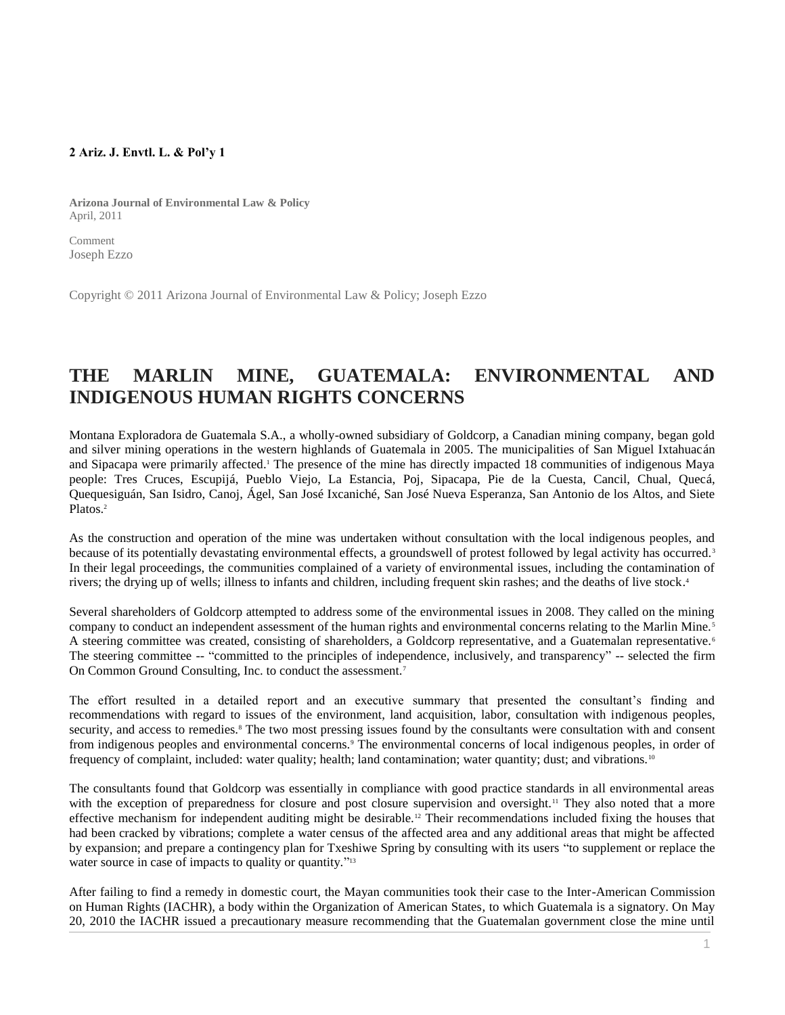## **2 Ariz. J. Envtl. L. & Pol'y 1**

**Arizona Journal of Environmental Law & Policy** April, 2011

Comment Joseph Ezzo

Copyright © 2011 Arizona Journal of Environmental Law & Policy; Joseph Ezzo

## **THE MARLIN MINE, GUATEMALA: ENVIRONMENTAL AND INDIGENOUS HUMAN RIGHTS CONCERNS**

Montana Exploradora de Guatemala S.A., a wholly-owned subsidiary of Goldcorp, a Canadian mining company, began gold and silver mining operations in the western highlands of Guatemala in 2005. The municipalities of San Miguel Ixtahuacán and Sipacapa were primarily affected.<sup>1</sup> The presence of the mine has directly impacted 18 communities of indigenous Maya people: Tres Cruces, Escupijá, Pueblo Viejo, La Estancia, Poj, Sipacapa, Pie de la Cuesta, Cancil, Chual, Quecá, Quequesiguán, San Isidro, Canoj, Ágel, San José Ixcaniché, San José Nueva Esperanza, San Antonio de los Altos, and Siete Platos.<sup>2</sup>

As the construction and operation of the mine was undertaken without consultation with the local indigenous peoples, and because of its potentially devastating environmental effects, a groundswell of protest followed by legal activity has occurred.<sup>3</sup> In their legal proceedings, the communities complained of a variety of environmental issues, including the contamination of rivers; the drying up of wells; illness to infants and children, including frequent skin rashes; and the deaths of live stock. 4

Several shareholders of Goldcorp attempted to address some of the environmental issues in 2008. They called on the mining company to conduct an independent assessment of the human rights and environmental concerns relating to the Marlin Mine.<sup>5</sup> A steering committee was created, consisting of shareholders, a Goldcorp representative, and a Guatemalan representative.<sup>6</sup> The steering committee -- "committed to the principles of independence, inclusively, and transparency" -- selected the firm On Common Ground Consulting, Inc. to conduct the assessment.<sup>7</sup>

The effort resulted in a detailed report and an executive summary that presented the consultant's finding and recommendations with regard to issues of the environment, land acquisition, labor, consultation with indigenous peoples, security, and access to remedies.<sup>8</sup> The two most pressing issues found by the consultants were consultation with and consent from indigenous peoples and environmental concerns.<sup>9</sup> The environmental concerns of local indigenous peoples, in order of frequency of complaint, included: water quality; health; land contamination; water quantity; dust; and vibrations.<sup>10</sup>

The consultants found that Goldcorp was essentially in compliance with good practice standards in all environmental areas with the exception of preparedness for closure and post closure supervision and oversight.<sup>11</sup> They also noted that a more effective mechanism for independent auditing might be desirable.<sup>12</sup> Their recommendations included fixing the houses that had been cracked by vibrations; complete a water census of the affected area and any additional areas that might be affected by expansion; and prepare a contingency plan for Txeshiwe Spring by consulting with its users "to supplement or replace the water source in case of impacts to quality or quantity."<sup>13</sup>

After failing to find a remedy in domestic court, the Mayan communities took their case to the Inter-American Commission on Human Rights (IACHR), a body within the Organization of American States, to which Guatemala is a signatory. On May 20, 2010 the IACHR issued a precautionary measure recommending that the Guatemalan government close the mine until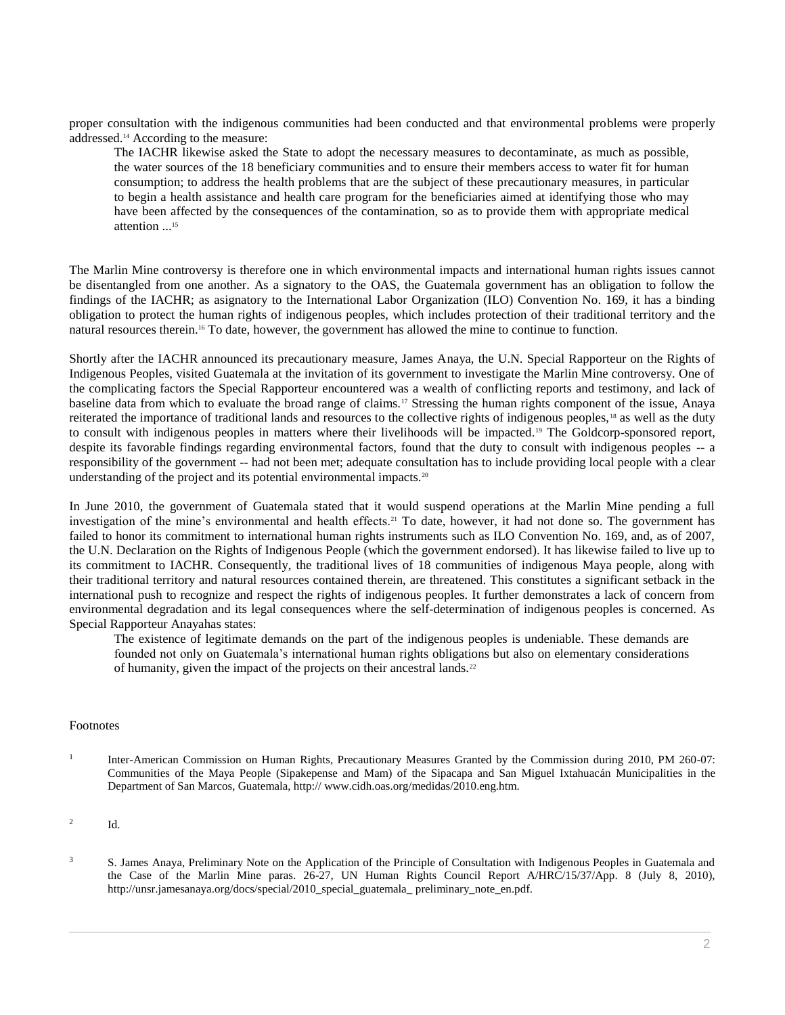proper consultation with the indigenous communities had been conducted and that environmental problems were properly addressed.<sup>14</sup> According to the measure:

The IACHR likewise asked the State to adopt the necessary measures to decontaminate, as much as possible, the water sources of the 18 beneficiary communities and to ensure their members access to water fit for human consumption; to address the health problems that are the subject of these precautionary measures, in particular to begin a health assistance and health care program for the beneficiaries aimed at identifying those who may have been affected by the consequences of the contamination, so as to provide them with appropriate medical attention ...<sup>15</sup>

The Marlin Mine controversy is therefore one in which environmental impacts and international human rights issues cannot be disentangled from one another. As a signatory to the OAS, the Guatemala government has an obligation to follow the findings of the IACHR; as asignatory to the International Labor Organization (ILO) Convention No. 169, it has a binding obligation to protect the human rights of indigenous peoples, which includes protection of their traditional territory and the natural resources therein.<sup>16</sup> To date, however, the government has allowed the mine to continue to function.

Shortly after the IACHR announced its precautionary measure, James Anaya, the U.N. Special Rapporteur on the Rights of Indigenous Peoples, visited Guatemala at the invitation of its government to investigate the Marlin Mine controversy. One of the complicating factors the Special Rapporteur encountered was a wealth of conflicting reports and testimony, and lack of baseline data from which to evaluate the broad range of claims.<sup>17</sup> Stressing the human rights component of the issue, Anaya reiterated the importance of traditional lands and resources to the collective rights of indigenous peoples, <sup>18</sup> as well as the duty to consult with indigenous peoples in matters where their livelihoods will be impacted.<sup>19</sup> The Goldcorp-sponsored report, despite its favorable findings regarding environmental factors, found that the duty to consult with indigenous peoples -- a responsibility of the government -- had not been met; adequate consultation has to include providing local people with a clear understanding of the project and its potential environmental impacts.<sup>20</sup>

In June 2010, the government of Guatemala stated that it would suspend operations at the Marlin Mine pending a full investigation of the mine's environmental and health effects.<sup>21</sup> To date, however, it had not done so. The government has failed to honor its commitment to international human rights instruments such as ILO Convention No. 169, and, as of 2007, the U.N. Declaration on the Rights of Indigenous People (which the government endorsed). It has likewise failed to live up to its commitment to IACHR. Consequently, the traditional lives of 18 communities of indigenous Maya people, along with their traditional territory and natural resources contained therein, are threatened. This constitutes a significant setback in the international push to recognize and respect the rights of indigenous peoples. It further demonstrates a lack of concern from environmental degradation and its legal consequences where the self-determination of indigenous peoples is concerned. As Special Rapporteur Anayahas states:

The existence of legitimate demands on the part of the indigenous peoples is undeniable. These demands are founded not only on Guatemala's international human rights obligations but also on elementary considerations of humanity, given the impact of the projects on their ancestral lands.<sup>22</sup>

## Footnotes

1 Inter-American Commission on Human Rights, Precautionary Measures Granted by the Commission during 2010, PM 260-07: Communities of the Maya People (Sipakepense and Mam) of the Sipacapa and San Miguel Ixtahuacán Municipalities in the Department of San Marcos, Guatemala, http:// www.cidh.oas.org/medidas/2010.eng.htm.

## 2 Id.

<sup>3</sup> S. James Anaya, Preliminary Note on the Application of the Principle of Consultation with Indigenous Peoples in Guatemala and the Case of the Marlin Mine paras. 26-27, UN Human Rights Council Report A/HRC/15/37/App. 8 (July 8, 2010), http://unsr.jamesanaya.org/docs/special/2010\_special\_guatemala\_ preliminary\_note\_en.pdf.